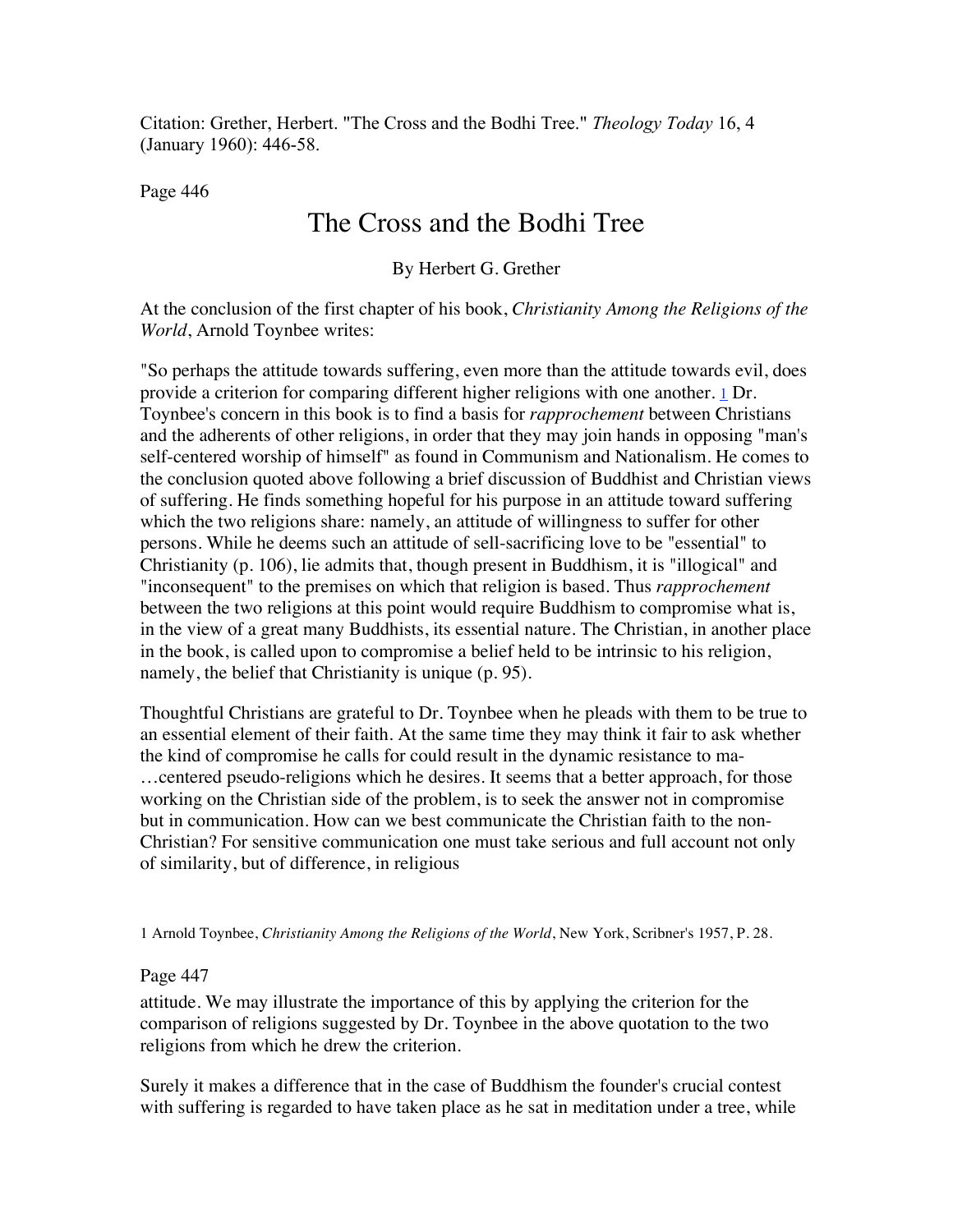Citation: Grether, Herbert. "The Cross and the Bodhi Tree." *Theology Today* 16, 4 (January 1960): 446-58.

**Page 446**  $\blacksquare$ 

# The Cross and the Bodhi Tree

By Herbert G. Grether

At the conclusion of the first chapter of his book, *Christianity Among the Religions of the World*, Arnold Toynbee writes:

"So perhaps the attitude towards suffering, even more than the attitude towards evil, does provide a criterion for comparing different higher religions with one another. 1 Dr. Toynbee's concern in this book is to find a basis for *rapprochement* between Christians and the adherents of other religions, in order that they may join hands in opposing "man's self-centered worship of himself" as found in Communism and Nationalism. He comes to the conclusion quoted above following a brief discussion of Buddhist and Christian views of suffering. He finds something hopeful for his purpose in an attitude toward suffering which the two religions share: namely, an attitude of willingness to suffer for other persons. While he deems such an attitude of sell-sacrificing love to be "essential" to Christianity (p. 106), lie admits that, though present in Buddhism, it is "illogical" and "inconsequent" to the premises on which that religion is based. Thus *rapprochement* between the two religions at this point would require Buddhism to compromise what is, in the view of a great many Buddhists, its essential nature. The Christian, in another place in the book, is called upon to compromise a belief held to be intrinsic to his religion, namely, the belief that Christianity is unique (p. 95).

Thoughtful Christians are grateful to Dr. Toynbee when he pleads with them to be true to an essential element of their faith. At the same time they may think it fair to ask whether the kind of compromise he calls for could result in the dynamic resistance to ma- …centered pseudo-religions which he desires. It seems that a better approach, for those working on the Christian side of the problem, is to seek the answer not in compromise but in communication. How can we best communicate the Christian faith to the non-Christian? For sensitive communication one must take serious and full account not only of similarity, but of difference, in religious

1 Arnold Toynbee, *Christianity Among the Religions of the World*, New York, Scribner's 1957, P. 28.

## **Page 447 447**

attitude. We may illustrate the importance of this by applying the criterion for the comparison of religions suggested by Dr. Toynbee in the above quotation to the two religions from which he drew the criterion.

Surely it makes a difference that in the case of Buddhism the founder's crucial contest with suffering is regarded to have taken place as he sat in meditation under a tree, while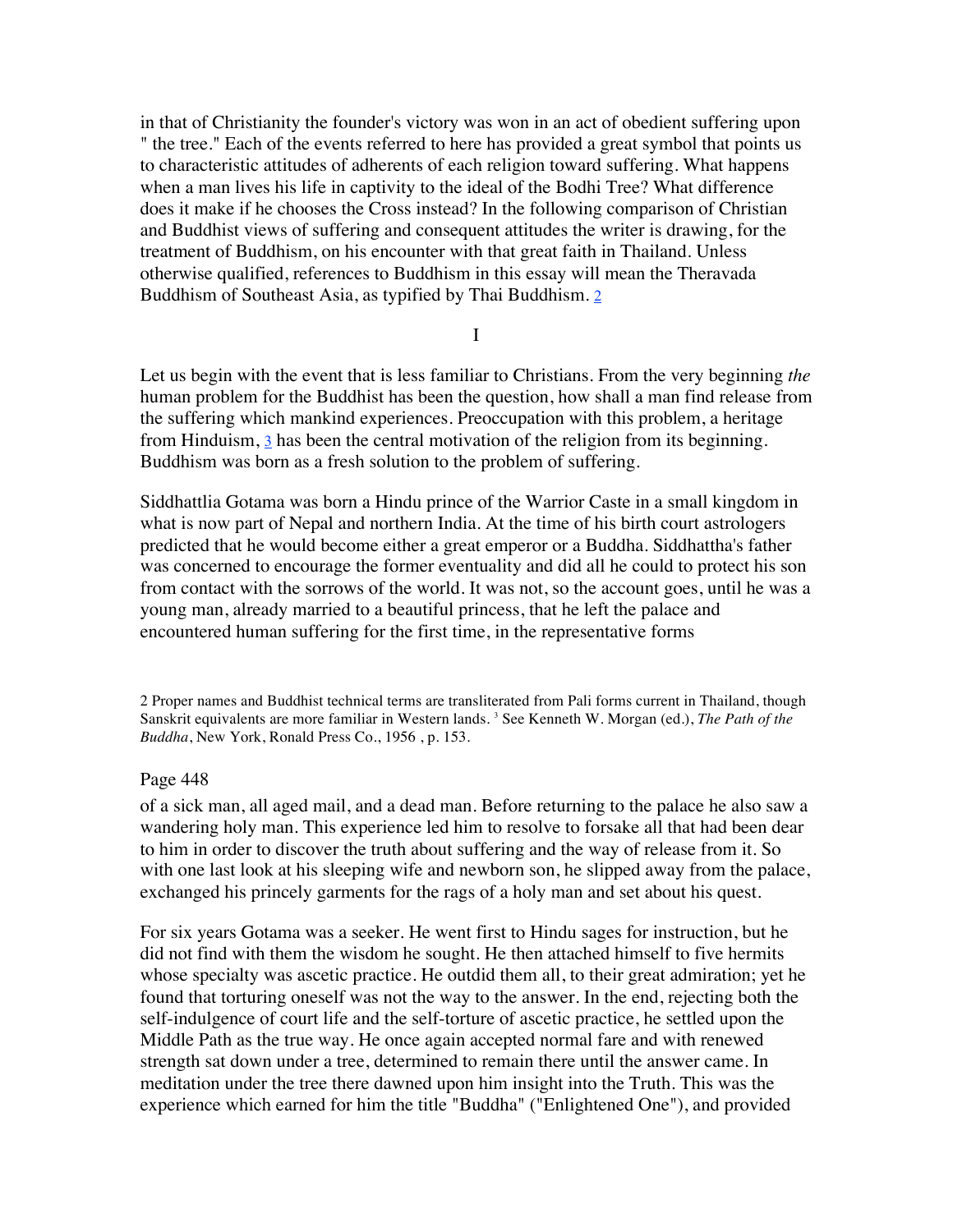in that of Christianity the founder's victory was won in an act of obedient suffering upon " the tree." Each of the events referred to here has provided a great symbol that points us to characteristic attitudes of adherents of each religion toward suffering. What happens when a man lives his life in captivity to the ideal of the Bodhi Tree? What difference does it make if he chooses the Cross instead? In the following comparison of Christian and Buddhist views of suffering and consequent attitudes the writer is drawing, for the treatment of Buddhism, on his encounter with that great faith in Thailand. Unless otherwise qualified, references to Buddhism in this essay will mean the Theravada Buddhism of Southeast Asia, as typified by Thai Buddhism. 2

I

Let us begin with the event that is less familiar to Christians. From the very beginning *the* human problem for the Buddhist has been the question, how shall a man find release from the suffering which mankind experiences. Preoccupation with this problem, a heritage from Hinduism,  $\frac{3}{2}$  has been the central motivation of the religion from its beginning. Buddhism was born as a fresh solution to the problem of suffering.

Siddhattlia Gotama was born a Hindu prince of the Warrior Caste in a small kingdom in what is now part of Nepal and northern India. At the time of his birth court astrologers predicted that he would become either a great emperor or a Buddha. Siddhattha's father was concerned to encourage the former eventuality and did all he could to protect his son from contact with the sorrows of the world. It was not, so the account goes, until he was a young man, already married to a beautiful princess, that he left the palace and encountered human suffering for the first time, in the representative forms

2 Proper names and Buddhist technical terms are transliterated from Pali forms current in Thailand, though Sanskrit equivalents are more familiar in Western lands. 3 See Kenneth W. Morgan (ed.), *The Path of the Buddha*, New York, Ronald Press Co., 1956 , p. 153.

#### **Page 448**  $\blacksquare$

of a sick man, all aged mail, and a dead man. Before returning to the palace he also saw a wandering holy man. This experience led him to resolve to forsake all that had been dear to him in order to discover the truth about suffering and the way of release from it. So with one last look at his sleeping wife and newborn son, he slipped away from the palace, exchanged his princely garments for the rags of a holy man and set about his quest.

For six years Gotama was a seeker. He went first to Hindu sages for instruction, but he did not find with them the wisdom he sought. He then attached himself to five hermits whose specialty was ascetic practice. He outdid them all, to their great admiration; yet he found that torturing oneself was not the way to the answer. In the end, rejecting both the self-indulgence of court life and the self-torture of ascetic practice, he settled upon the Middle Path as the true way. He once again accepted normal fare and with renewed strength sat down under a tree, determined to remain there until the answer came. In meditation under the tree there dawned upon him insight into the Truth. This was the experience which earned for him the title "Buddha" ("Enlightened One"), and provided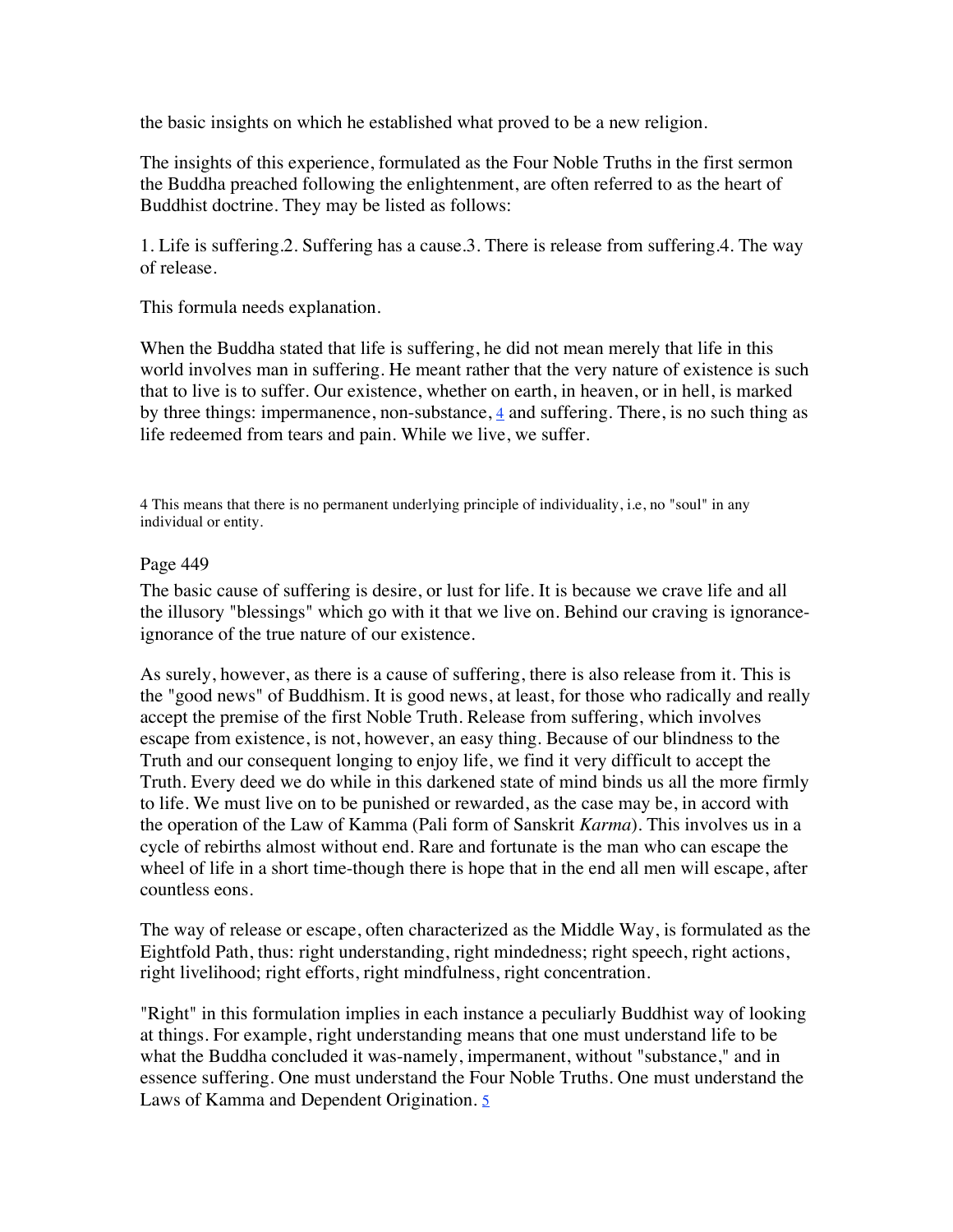the basic insights on which he established what proved to be a new religion.

The insights of this experience, formulated as the Four Noble Truths in the first sermon the Buddha preached following the enlightenment, are often referred to as the heart of Buddhist doctrine. They may be listed as follows:

1. Life is suffering.2. Suffering has a cause.3. There is release from suffering.4. The way of release.

This formula needs explanation.

When the Buddha stated that life is suffering, he did not mean merely that life in this world involves man in suffering. He meant rather that the very nature of existence is such that to live is to suffer. Our existence, whether on earth, in heaven, or in hell, is marked by three things: impermanence, non-substance,  $\frac{4}{3}$  and suffering. There, is no such thing as life redeemed from tears and pain. While we live, we suffer.

4 This means that there is no permanent underlying principle of individuality, i.e, no "soul" in any individual or entity.

# **Page 449**  $\blacksquare$

The basic cause of suffering is desire, or lust for life. It is because we crave life and all the illusory "blessings" which go with it that we live on. Behind our craving is ignoranceignorance of the true nature of our existence.

As surely, however, as there is a cause of suffering, there is also release from it. This is the "good news" of Buddhism. It is good news, at least, for those who radically and really accept the premise of the first Noble Truth. Release from suffering, which involves escape from existence, is not, however, an easy thing. Because of our blindness to the Truth and our consequent longing to enjoy life, we find it very difficult to accept the Truth. Every deed we do while in this darkened state of mind binds us all the more firmly to life. We must live on to be punished or rewarded, as the case may be, in accord with the operation of the Law of Kamma (Pali form of Sanskrit *Karma*). This involves us in a cycle of rebirths almost without end. Rare and fortunate is the man who can escape the wheel of life in a short time-though there is hope that in the end all men will escape, after countless eons.

The way of release or escape, often characterized as the Middle Way, is formulated as the Eightfold Path, thus: right understanding, right mindedness; right speech, right actions, right livelihood; right efforts, right mindfulness, right concentration.

"Right" in this formulation implies in each instance a peculiarly Buddhist way of looking at things. For example, right understanding means that one must understand life to be what the Buddha concluded it was-namely, impermanent, without "substance," and in essence suffering. One must understand the Four Noble Truths. One must understand the Laws of Kamma and Dependent Origination. 5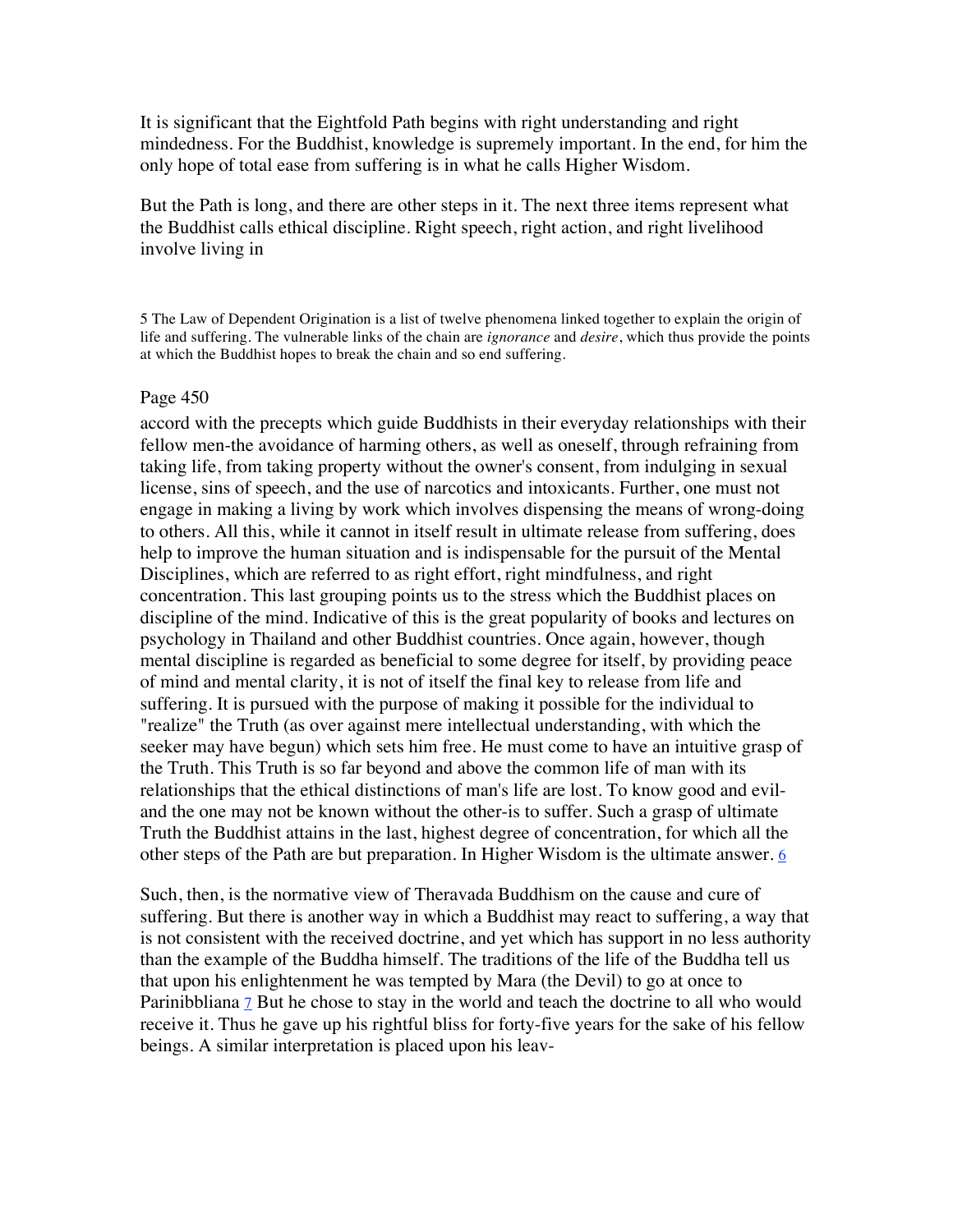It is significant that the Eightfold Path begins with right understanding and right mindedness. For the Buddhist, knowledge is supremely important. In the end, for him the only hope of total ease from suffering is in what he calls Higher Wisdom.

But the Path is long, and there are other steps in it. The next three items represent what the Buddhist calls ethical discipline. Right speech, right action, and right livelihood involve living in

5 The Law of Dependent Origination is a list of twelve phenomena linked together to explain the origin of life and suffering. The vulnerable links of the chain are *ignorance* and *desire*, which thus provide the points at which the Buddhist hopes to break the chain and so end suffering.

#### **Page 450**  $\blacksquare$

accord with the precepts which guide Buddhists in their everyday relationships with their fellow men-the avoidance of harming others, as well as oneself, through refraining from taking life, from taking property without the owner's consent, from indulging in sexual license, sins of speech, and the use of narcotics and intoxicants. Further, one must not engage in making a living by work which involves dispensing the means of wrong-doing to others. All this, while it cannot in itself result in ultimate release from suffering, does help to improve the human situation and is indispensable for the pursuit of the Mental Disciplines, which are referred to as right effort, right mindfulness, and right concentration. This last grouping points us to the stress which the Buddhist places on discipline of the mind. Indicative of this is the great popularity of books and lectures on psychology in Thailand and other Buddhist countries. Once again, however, though mental discipline is regarded as beneficial to some degree for itself, by providing peace of mind and mental clarity, it is not of itself the final key to release from life and suffering. It is pursued with the purpose of making it possible for the individual to "realize" the Truth (as over against mere intellectual understanding, with which the seeker may have begun) which sets him free. He must come to have an intuitive grasp of the Truth. This Truth is so far beyond and above the common life of man with its relationships that the ethical distinctions of man's life are lost. To know good and eviland the one may not be known without the other-is to suffer. Such a grasp of ultimate Truth the Buddhist attains in the last, highest degree of concentration, for which all the other steps of the Path are but preparation. In Higher Wisdom is the ultimate answer.  $6$ 

Such, then, is the normative view of Theravada Buddhism on the cause and cure of suffering. But there is another way in which a Buddhist may react to suffering, a way that is not consistent with the received doctrine, and yet which has support in no less authority than the example of the Buddha himself. The traditions of the life of the Buddha tell us that upon his enlightenment he was tempted by Mara (the Devil) to go at once to Parinibbliana 7 But he chose to stay in the world and teach the doctrine to all who would receive it. Thus he gave up his rightful bliss for forty-five years for the sake of his fellow beings. A similar interpretation is placed upon his leav-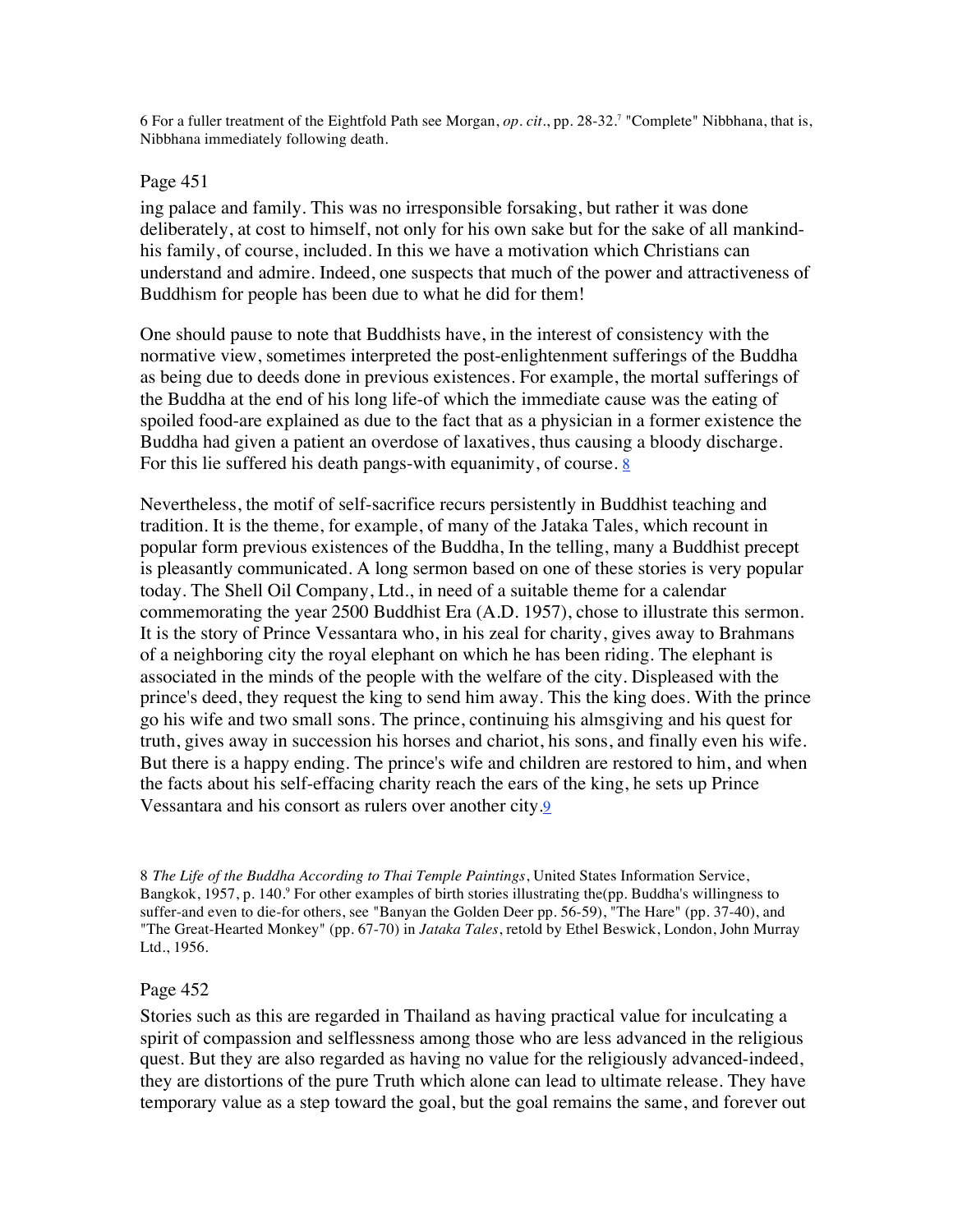6 For a fuller treatment of the Eightfold Path see Morgan, *op. cit*., pp. 28-32.7 "Complete" Nibbhana, that is, Nibbhana immediately following death.

# **Page 451**  $\blacksquare$

ing palace and family. This was no irresponsible forsaking, but rather it was done deliberately, at cost to himself, not only for his own sake but for the sake of all mankindhis family, of course, included. In this we have a motivation which Christians can understand and admire. Indeed, one suspects that much of the power and attractiveness of Buddhism for people has been due to what he did for them!

One should pause to note that Buddhists have, in the interest of consistency with the normative view, sometimes interpreted the post-enlightenment sufferings of the Buddha as being due to deeds done in previous existences. For example, the mortal sufferings of the Buddha at the end of his long life-of which the immediate cause was the eating of spoiled food-are explained as due to the fact that as a physician in a former existence the Buddha had given a patient an overdose of laxatives, thus causing a bloody discharge. For this lie suffered his death pangs-with equanimity, of course.  $8$ 

Nevertheless, the motif of self-sacrifice recurs persistently in Buddhist teaching and tradition. It is the theme, for example, of many of the Jataka Tales, which recount in popular form previous existences of the Buddha, In the telling, many a Buddhist precept is pleasantly communicated. A long sermon based on one of these stories is very popular today. The Shell Oil Company, Ltd., in need of a suitable theme for a calendar commemorating the year 2500 Buddhist Era (A.D. 1957), chose to illustrate this sermon. It is the story of Prince Vessantara who, in his zeal for charity, gives away to Brahmans of a neighboring city the royal elephant on which he has been riding. The elephant is associated in the minds of the people with the welfare of the city. Displeased with the prince's deed, they request the king to send him away. This the king does. With the prince go his wife and two small sons. The prince, continuing his almsgiving and his quest for truth, gives away in succession his horses and chariot, his sons, and finally even his wife. But there is a happy ending. The prince's wife and children are restored to him, and when the facts about his self-effacing charity reach the ears of the king, he sets up Prince Vessantara and his consort as rulers over another city.9

8 *The Life of the Buddha According to Thai Temple Paintings*, United States Information Service, Bangkok, 1957, p. 140.9 For other examples of birth stories illustrating the(pp. Buddha's willingness to suffer-and even to die-for others, see "Banyan the Golden Deer pp. 56-59), "The Hare" (pp. 37-40), and "The Great-Hearted Monkey" (pp. 67-70) in *Jataka Tales*, retold by Ethel Beswick, London, John Murray Ltd., 1956.

## Page 452 **452**  $\blacksquare$

Stories such as this are regarded in Thailand as having practical value for inculcating a spirit of compassion and selflessness among those who are less advanced in the religious quest. But they are also regarded as having no value for the religiously advanced-indeed, they are distortions of the pure Truth which alone can lead to ultimate release. They have temporary value as a step toward the goal, but the goal remains the same, and forever out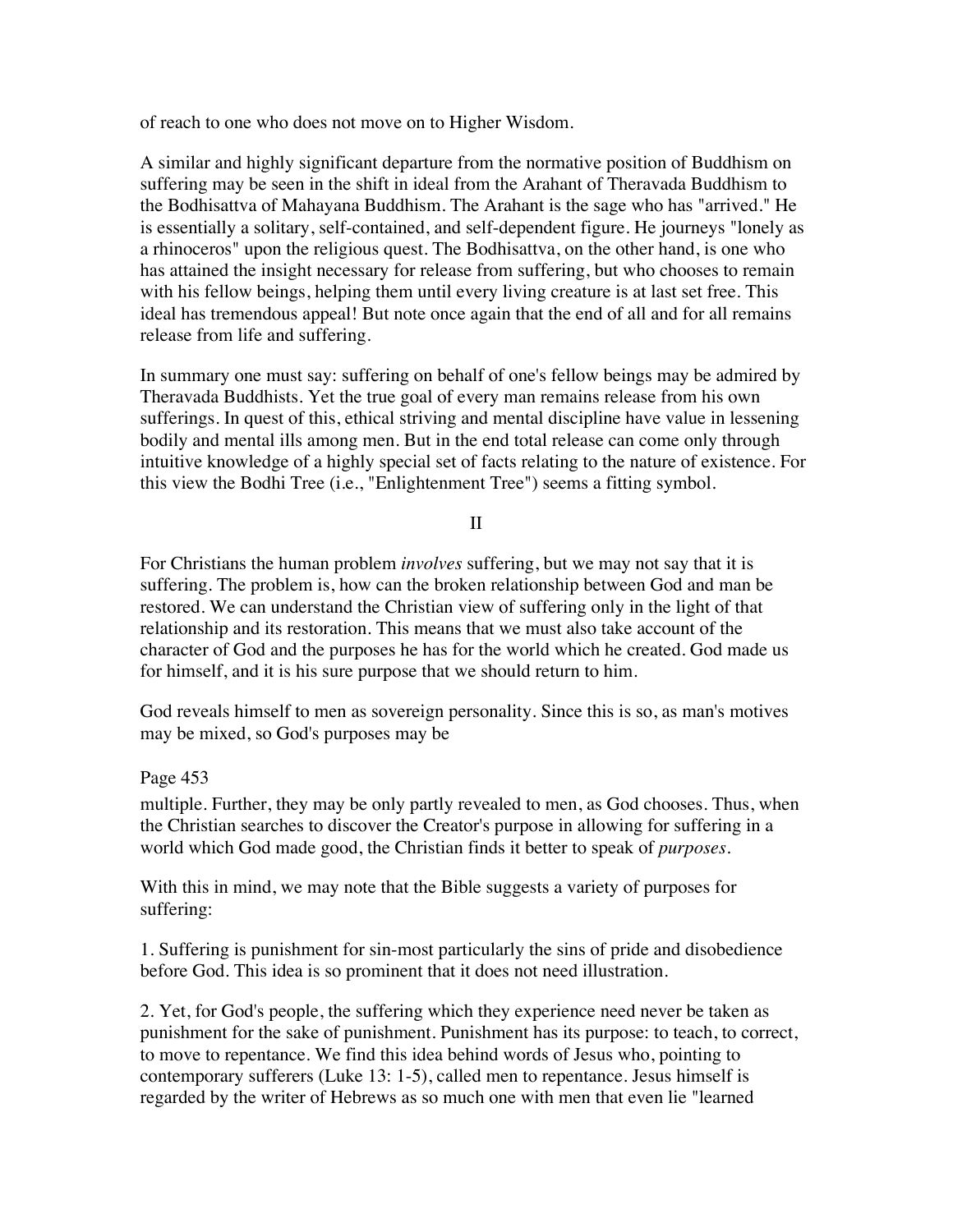of reach to one who does not move on to Higher Wisdom.

A similar and highly significant departure from the normative position of Buddhism on suffering may be seen in the shift in ideal from the Arahant of Theravada Buddhism to the Bodhisattva of Mahayana Buddhism. The Arahant is the sage who has "arrived." He is essentially a solitary, self-contained, and self-dependent figure. He journeys "lonely as a rhinoceros" upon the religious quest. The Bodhisattva, on the other hand, is one who has attained the insight necessary for release from suffering, but who chooses to remain with his fellow beings, helping them until every living creature is at last set free. This ideal has tremendous appeal! But note once again that the end of all and for all remains release from life and suffering.

In summary one must say: suffering on behalf of one's fellow beings may be admired by Theravada Buddhists. Yet the true goal of every man remains release from his own sufferings. In quest of this, ethical striving and mental discipline have value in lessening bodily and mental ills among men. But in the end total release can come only through intuitive knowledge of a highly special set of facts relating to the nature of existence. For this view the Bodhi Tree (i.e., "Enlightenment Tree") seems a fitting symbol.

#### II

For Christians the human problem *involves* suffering, but we may not say that it is suffering. The problem is, how can the broken relationship between God and man be restored. We can understand the Christian view of suffering only in the light of that relationship and its restoration. This means that we must also take account of the character of God and the purposes he has for the world which he created. God made us for himself, and it is his sure purpose that we should return to him.

God reveals himself to men as sovereign personality. Since this is so, as man's motives may be mixed, so God's purposes may be

#### Page 453 **453**  $\blacksquare$

multiple. Further, they may be only partly revealed to men, as God chooses. Thus, when the Christian searches to discover the Creator's purpose in allowing for suffering in a world which God made good, the Christian finds it better to speak of *purposes*.

With this in mind, we may note that the Bible suggests a variety of purposes for suffering:

1. Suffering is punishment for sin-most particularly the sins of pride and disobedience before God. This idea is so prominent that it does not need illustration.

2. Yet, for God's people, the suffering which they experience need never be taken as punishment for the sake of punishment. Punishment has its purpose: to teach, to correct, to move to repentance. We find this idea behind words of Jesus who, pointing to contemporary sufferers (Luke 13: 1-5), called men to repentance. Jesus himself is regarded by the writer of Hebrews as so much one with men that even lie "learned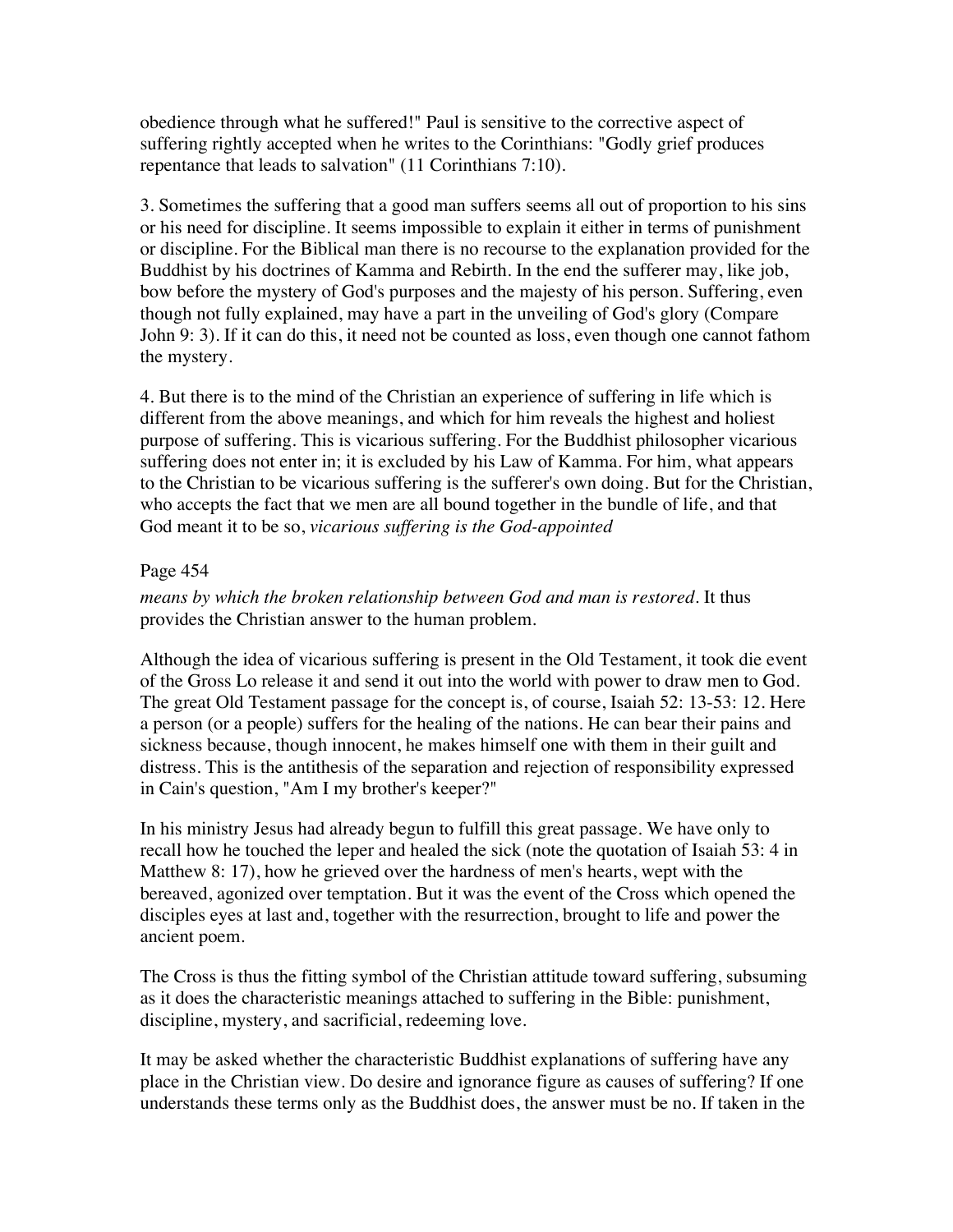obedience through what he suffered!" Paul is sensitive to the corrective aspect of suffering rightly accepted when he writes to the Corinthians: "Godly grief produces repentance that leads to salvation" (11 Corinthians 7:10).

3. Sometimes the suffering that a good man suffers seems all out of proportion to his sins or his need for discipline. It seems impossible to explain it either in terms of punishment or discipline. For the Biblical man there is no recourse to the explanation provided for the Buddhist by his doctrines of Kamma and Rebirth. In the end the sufferer may, like job, bow before the mystery of God's purposes and the majesty of his person. Suffering, even though not fully explained, may have a part in the unveiling of God's glory (Compare John 9: 3). If it can do this, it need not be counted as loss, even though one cannot fathom the mystery.

4. But there is to the mind of the Christian an experience of suffering in life which is different from the above meanings, and which for him reveals the highest and holiest purpose of suffering. This is vicarious suffering. For the Buddhist philosopher vicarious suffering does not enter in; it is excluded by his Law of Kamma. For him, what appears to the Christian to be vicarious suffering is the sufferer's own doing. But for the Christian, who accepts the fact that we men are all bound together in the bundle of life, and that God meant it to be so, *vicarious suffering is the God-appointed*

## **Page 454**  $\blacksquare$

*means by which the broken relationship between God and man is restored*. It thus provides the Christian answer to the human problem.

Although the idea of vicarious suffering is present in the Old Testament, it took die event of the Gross Lo release it and send it out into the world with power to draw men to God. The great Old Testament passage for the concept is, of course, Isaiah 52: 13-53: 12. Here a person (or a people) suffers for the healing of the nations. He can bear their pains and sickness because, though innocent, he makes himself one with them in their guilt and distress. This is the antithesis of the separation and rejection of responsibility expressed in Cain's question, "Am I my brother's keeper?"

In his ministry Jesus had already begun to fulfill this great passage. We have only to recall how he touched the leper and healed the sick (note the quotation of Isaiah 53: 4 in Matthew 8: 17), how he grieved over the hardness of men's hearts, wept with the bereaved, agonized over temptation. But it was the event of the Cross which opened the disciples eyes at last and, together with the resurrection, brought to life and power the ancient poem.

The Cross is thus the fitting symbol of the Christian attitude toward suffering, subsuming as it does the characteristic meanings attached to suffering in the Bible: punishment, discipline, mystery, and sacrificial, redeeming love.

It may be asked whether the characteristic Buddhist explanations of suffering have any place in the Christian view. Do desire and ignorance figure as causes of suffering? If one understands these terms only as the Buddhist does, the answer must be no. If taken in the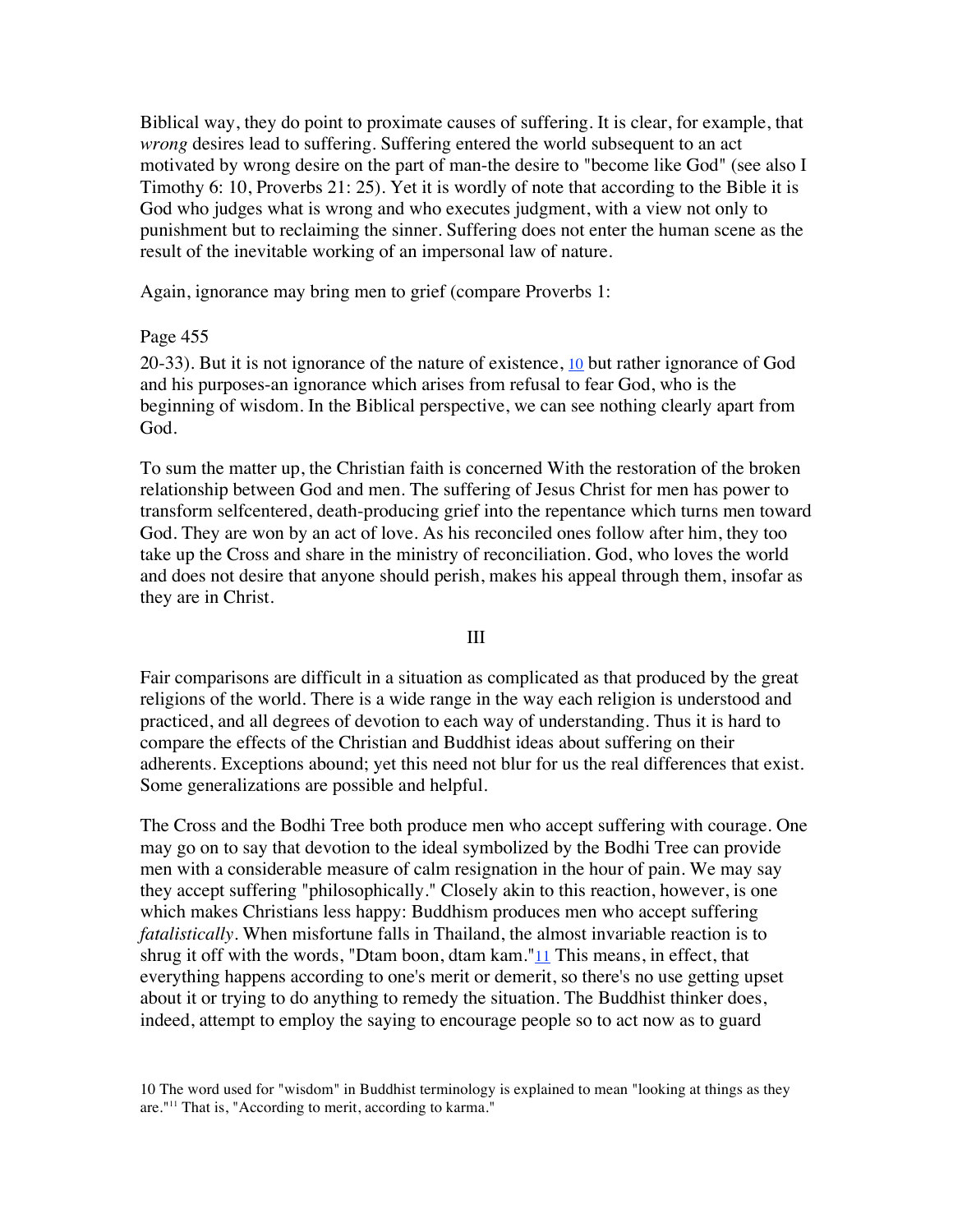Biblical way, they do point to proximate causes of suffering. It is clear, for example, that *wrong* desires lead to suffering. Suffering entered the world subsequent to an act motivated by wrong desire on the part of man-the desire to "become like God" (see also I Timothy 6: 10, Proverbs 21: 25). Yet it is wordly of note that according to the Bible it is God who judges what is wrong and who executes judgment, with a view not only to punishment but to reclaiming the sinner. Suffering does not enter the human scene as the result of the inevitable working of an impersonal law of nature.

Again, ignorance may bring men to grief (compare Proverbs 1:

#### **Page 455**  $\blacksquare$

20-33). But it is not ignorance of the nature of existence, 10 but rather ignorance of God and his purposes-an ignorance which arises from refusal to fear God, who is the beginning of wisdom. In the Biblical perspective, we can see nothing clearly apart from God.

To sum the matter up, the Christian faith is concerned With the restoration of the broken relationship between God and men. The suffering of Jesus Christ for men has power to transform selfcentered, death-producing grief into the repentance which turns men toward God. They are won by an act of love. As his reconciled ones follow after him, they too take up the Cross and share in the ministry of reconciliation. God, who loves the world and does not desire that anyone should perish, makes his appeal through them, insofar as they are in Christ.

#### III

Fair comparisons are difficult in a situation as complicated as that produced by the great religions of the world. There is a wide range in the way each religion is understood and practiced, and all degrees of devotion to each way of understanding. Thus it is hard to compare the effects of the Christian and Buddhist ideas about suffering on their adherents. Exceptions abound; yet this need not blur for us the real differences that exist. Some generalizations are possible and helpful.

The Cross and the Bodhi Tree both produce men who accept suffering with courage. One may go on to say that devotion to the ideal symbolized by the Bodhi Tree can provide men with a considerable measure of calm resignation in the hour of pain. We may say they accept suffering "philosophically." Closely akin to this reaction, however, is one which makes Christians less happy: Buddhism produces men who accept suffering *fatalistically*. When misfortune falls in Thailand, the almost invariable reaction is to shrug it off with the words, "Dtam boon, dtam kam." $11$  This means, in effect, that everything happens according to one's merit or demerit, so there's no use getting upset about it or trying to do anything to remedy the situation. The Buddhist thinker does, indeed, attempt to employ the saying to encourage people so to act now as to guard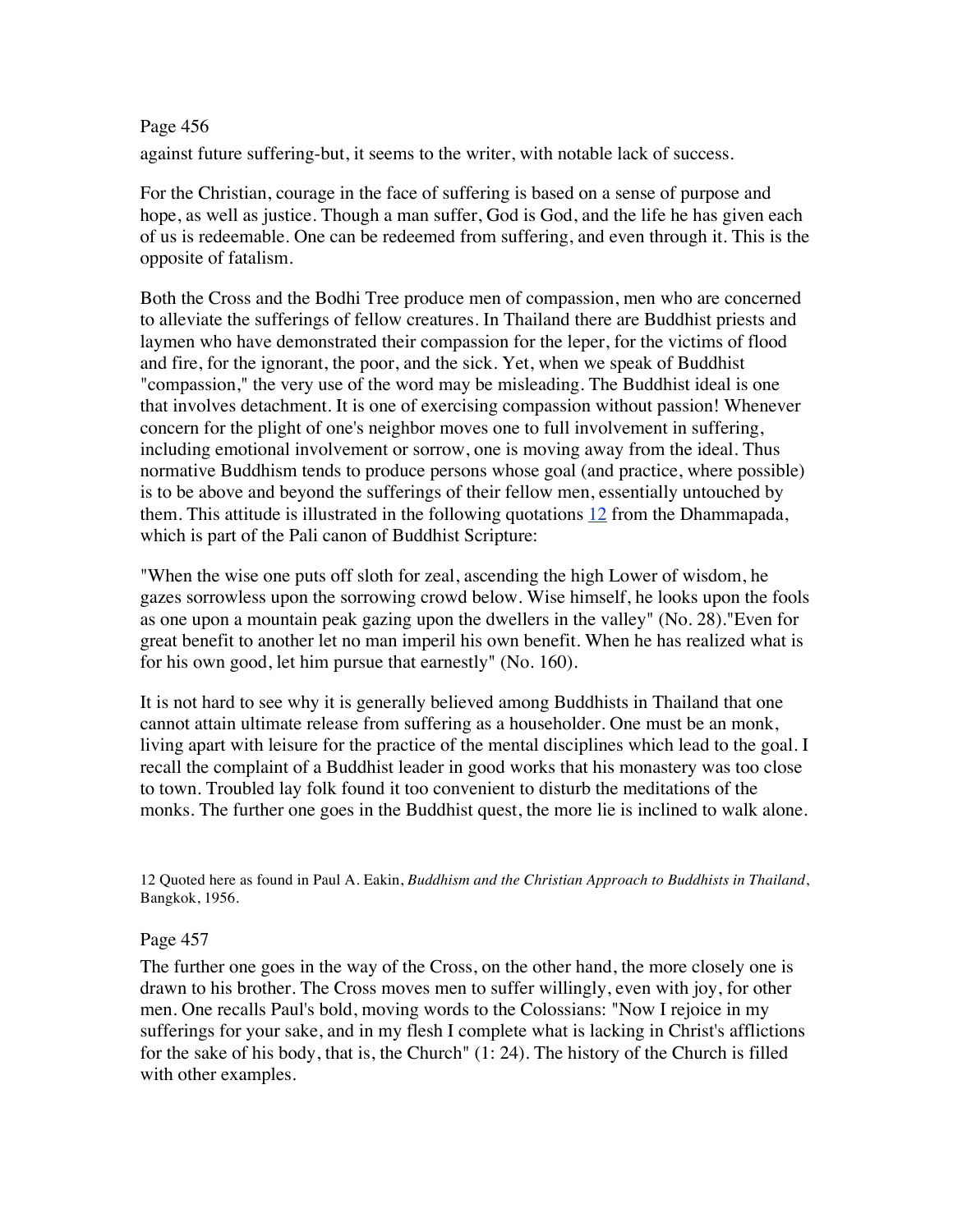## **Page 456**  $\blacksquare$

against future suffering-but, it seems to the writer, with notable lack of success.

For the Christian, courage in the face of suffering is based on a sense of purpose and hope, as well as justice. Though a man suffer, God is God, and the life he has given each of us is redeemable. One can be redeemed from suffering, and even through it. This is the opposite of fatalism.

Both the Cross and the Bodhi Tree produce men of compassion, men who are concerned to alleviate the sufferings of fellow creatures. In Thailand there are Buddhist priests and laymen who have demonstrated their compassion for the leper, for the victims of flood and fire, for the ignorant, the poor, and the sick. Yet, when we speak of Buddhist "compassion," the very use of the word may be misleading. The Buddhist ideal is one that involves detachment. It is one of exercising compassion without passion! Whenever concern for the plight of one's neighbor moves one to full involvement in suffering, including emotional involvement or sorrow, one is moving away from the ideal. Thus normative Buddhism tends to produce persons whose goal (and practice, where possible) is to be above and beyond the sufferings of their fellow men, essentially untouched by them. This attitude is illustrated in the following quotations  $12$  from the Dhammapada, which is part of the Pali canon of Buddhist Scripture:

"When the wise one puts off sloth for zeal, ascending the high Lower of wisdom, he gazes sorrowless upon the sorrowing crowd below. Wise himself, he looks upon the fools as one upon a mountain peak gazing upon the dwellers in the valley" (No. 28)."Even for great benefit to another let no man imperil his own benefit. When he has realized what is for his own good, let him pursue that earnestly" (No. 160).

It is not hard to see why it is generally believed among Buddhists in Thailand that one cannot attain ultimate release from suffering as a householder. One must be an monk, living apart with leisure for the practice of the mental disciplines which lead to the goal. I recall the complaint of a Buddhist leader in good works that his monastery was too close to town. Troubled lay folk found it too convenient to disturb the meditations of the monks. The further one goes in the Buddhist quest, the more lie is inclined to walk alone.

12 Quoted here as found in Paul A. Eakin, *Buddhism and the Christian Approach to Buddhists in Thailand*, Bangkok, 1956.

#### **Page 457**  $\blacksquare$

The further one goes in the way of the Cross, on the other hand, the more closely one is drawn to his brother. The Cross moves men to suffer willingly, even with joy, for other men. One recalls Paul's bold, moving words to the Colossians: "Now I rejoice in my sufferings for your sake, and in my flesh I complete what is lacking in Christ's afflictions for the sake of his body, that is, the Church" (1: 24). The history of the Church is filled with other examples.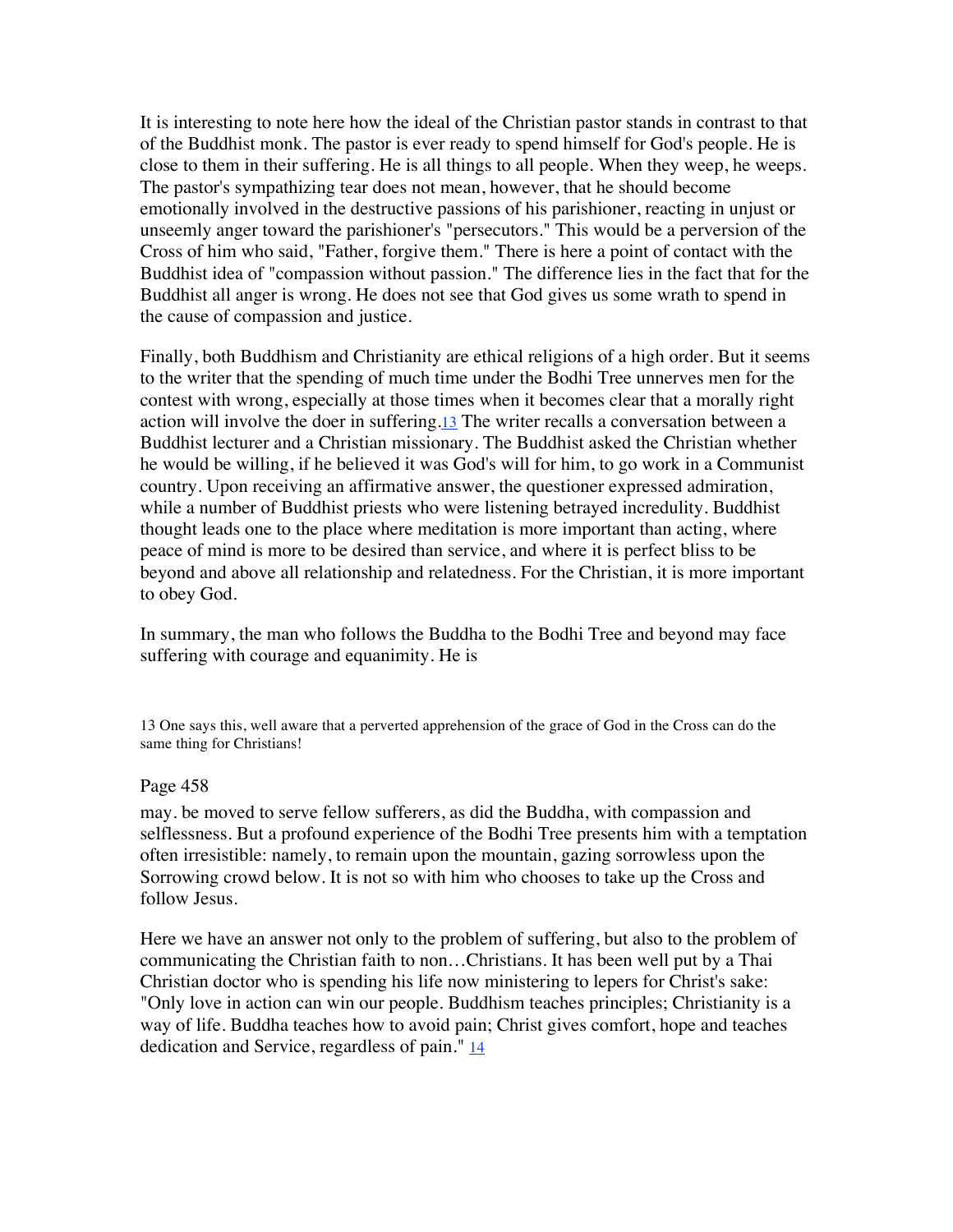It is interesting to note here how the ideal of the Christian pastor stands in contrast to that of the Buddhist monk. The pastor is ever ready to spend himself for God's people. He is close to them in their suffering. He is all things to all people. When they weep, he weeps. The pastor's sympathizing tear does not mean, however, that he should become emotionally involved in the destructive passions of his parishioner, reacting in unjust or unseemly anger toward the parishioner's "persecutors." This would be a perversion of the Cross of him who said, "Father, forgive them." There is here a point of contact with the Buddhist idea of "compassion without passion." The difference lies in the fact that for the Buddhist all anger is wrong. He does not see that God gives us some wrath to spend in the cause of compassion and justice.

Finally, both Buddhism and Christianity are ethical religions of a high order. But it seems to the writer that the spending of much time under the Bodhi Tree unnerves men for the contest with wrong, especially at those times when it becomes clear that a morally right action will involve the doer in suffering.13 The writer recalls a conversation between a Buddhist lecturer and a Christian missionary. The Buddhist asked the Christian whether he would be willing, if he believed it was God's will for him, to go work in a Communist country. Upon receiving an affirmative answer, the questioner expressed admiration, while a number of Buddhist priests who were listening betrayed incredulity. Buddhist thought leads one to the place where meditation is more important than acting, where peace of mind is more to be desired than service, and where it is perfect bliss to be beyond and above all relationship and relatedness. For the Christian, it is more important to obey God.

In summary, the man who follows the Buddha to the Bodhi Tree and beyond may face suffering with courage and equanimity. He is

13 One says this, well aware that a perverted apprehension of the grace of God in the Cross can do the same thing for Christians!

#### **Page 458**  $\blacksquare$

may. be moved to serve fellow sufferers, as did the Buddha, with compassion and selflessness. But a profound experience of the Bodhi Tree presents him with a temptation often irresistible: namely, to remain upon the mountain, gazing sorrowless upon the Sorrowing crowd below. It is not so with him who chooses to take up the Cross and follow Jesus.

Here we have an answer not only to the problem of suffering, but also to the problem of communicating the Christian faith to non…Christians. It has been well put by a Thai Christian doctor who is spending his life now ministering to lepers for Christ's sake: "Only love in action can win our people. Buddhism teaches principles; Christianity is a way of life. Buddha teaches how to avoid pain; Christ gives comfort, hope and teaches dedication and Service, regardless of pain." 14